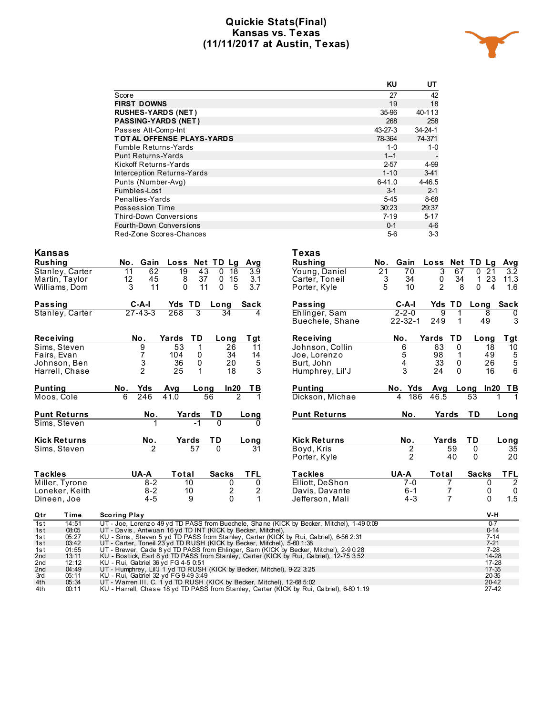#### **Quickie Stats(Final) Kansas vs. Texas (11/11/2017 at Austin, Texas)**



|                             | KU       | UT       |
|-----------------------------|----------|----------|
| Score                       | 27       | 42       |
| <b>FIRST DOWNS</b>          | 19       | 18       |
| <b>RUSHES-YARDS (NET)</b>   | 35-96    | 40-113   |
| <b>PASSING-YARDS (NET)</b>  | 268      | 258      |
| Passes Att-Comp-Int         | 43-27-3  | 34-24-1  |
| TOT AL OFFENSE PLAYS-YARDS  | 78-364   | 74-371   |
| <b>Fumble Returns-Yards</b> | $1 - 0$  | $1 - 0$  |
| <b>Punt Returns-Yards</b>   | $1 - 1$  |          |
| Kickoff Returns-Yards       | $2 - 57$ | 4-99     |
| Interception Returns-Yards  | $1 - 10$ | $3-41$   |
| Punts (Number-Avg)          | $6-41.0$ | 4-46.5   |
| Fumbles-Lost                | $3 - 1$  | $2 - 1$  |
| Penalties-Yards             | $5 - 45$ | 8-68     |
| Possession Time             | 30:23    | 29:37    |
| Third-Down Conversions      | $7-19$   | $5 - 17$ |
| Fourth-Down Conversions     | $0 - 1$  | $4-6$    |
| Red-Zone Scores-Chances     | $5-6$    | $3-3$    |

| <b>Kansas</b>                 |                                                                                                                                                                 | Texas               |                       |                      |                                                    |
|-------------------------------|-----------------------------------------------------------------------------------------------------------------------------------------------------------------|---------------------|-----------------------|----------------------|----------------------------------------------------|
| <b>Rushing</b>                | Loss Net TD Lg<br>No.<br>Gain<br>Avg                                                                                                                            | <b>Rushing</b>      | No.<br>Gain           | Loss Net TD Lg       | <b>Avg</b>                                         |
| Stanley, Carter               | 62<br>$\overline{19}$<br>43<br>$\overline{18}$<br>$\mathbf{0}$<br>3.9<br>11                                                                                     | Young, Daniel       | $\overline{21}$<br>70 | 3<br>67              | $\overline{3.2}$<br>$\overline{21}$<br>$\mathbf 0$ |
| Martin, Taylor                | 15<br>12<br>45<br>37<br>8<br>$\mathbf 0$<br>3.1                                                                                                                 | Carter, Toneil      | 3<br>34               | 0<br>34              | 23<br>$\mathbf{1}$<br>11.3                         |
| Williams, Dom                 | 5<br>3.7<br>11<br>$\mathbf{0}$<br>3<br>11<br>$\Omega$                                                                                                           | Porter, Kyle        | 5<br>10               | $\overline{2}$<br>8  | $\Omega$<br>4<br>1.6                               |
| <b>Passing</b>                | $C-A-I$<br>Yds TD<br>Long<br>Sack                                                                                                                               | Passing             | $C-A-I$               | <b>Yds TD</b>        | Sack<br>Long                                       |
| Stanley, Carter               | $27 - 43 - 3$<br>268<br>3<br>34                                                                                                                                 | Ehlinger, Sam       | $2 - 2 - 0$           | 9                    | 8<br>0                                             |
|                               |                                                                                                                                                                 | Buechele, Shane     | $22 - 32 - 1$         | 249<br>1             | 3<br>49                                            |
| <b>Receiving</b>              | ΤD<br>No.<br>Yards<br>T gt<br>Long                                                                                                                              | Receiving           | No.                   | TD<br>Yards          | <b>Tgt</b><br>Long                                 |
| Sims, Steven                  | 9<br>$\overline{53}$<br>$\mathbf 1$<br>26<br>11                                                                                                                 | Johnson, Collin     | 6                     | $\overline{0}$<br>63 | $\overline{10}$<br>18                              |
| Fairs, Evan                   | $\overline{7}$<br>104<br>14<br>0<br>34                                                                                                                          | Joe, Lorenzo        | 5                     | 98<br>$\mathbf{1}$   | $\frac{5}{5}$<br>49                                |
| Johnson, Ben                  | $\sqrt{5}$<br>3<br>36<br>0<br>20                                                                                                                                | Burt. John          | 4                     | 33<br>$\mathbf 0$    | 26                                                 |
| Harrell, Chase                | 2<br>3<br>25<br>1<br>18                                                                                                                                         | Humphrey, Lil'J     | 3                     | 24<br>0              | 6<br>16                                            |
| <b>Punting</b>                | Yds<br>ln20<br>No.<br>Avg<br>TВ<br>Long                                                                                                                         | <b>Punting</b>      | No. Yds               | Avg                  | ln20<br>Long<br>TВ                                 |
| Moos, Cole                    | $\overline{2}$<br>6<br>246<br>41.0<br>56<br>1                                                                                                                   | Dickson, Michae     | 186<br>4              | 46.5                 | $\overline{53}$                                    |
| <b>Punt Returns</b>           | No.<br>ТD<br>Yards<br>Long                                                                                                                                      | <b>Punt Returns</b> | No.                   | Yards                | <b>TD</b><br>$L$ ong                               |
| Sims, Steven                  | $\Omega$                                                                                                                                                        |                     |                       |                      |                                                    |
| <b>Kick Returns</b>           | No.<br>Yards<br>ΤD<br>Lo ng                                                                                                                                     | <b>Kick Returns</b> | No.                   | Yards                | TD<br>Long                                         |
| Sims, Steven                  | 57<br>$\overline{0}$<br>$\overline{31}$                                                                                                                         | Boyd, Kris          | 2                     | 59                   | $\overline{35}$<br>$\overline{0}$                  |
|                               |                                                                                                                                                                 | Porter, Kyle        | 2                     | 40                   | 20<br>0                                            |
| <b>Tackles</b>                | <b>TFL</b><br>UA-A<br>Total<br><b>Sacks</b>                                                                                                                     | <b>Tackles</b>      | UA-A                  | Total                | <b>TFL</b><br><b>Sacks</b>                         |
| Miller, Tyrone                | $8 - 2$<br>10<br>0<br>$\mathbf 0$                                                                                                                               | Elliott, DeShon     | 7-0                   | 7                    | $\overline{2}$<br>0                                |
| Loneker, Keith                | 2<br>$8 - 2$<br>10<br>2                                                                                                                                         | Davis, Davante      | $6 - 1$               | 7                    | 0<br>0                                             |
| Dineen, Joe                   | $\Omega$<br>1<br>$4 - 5$<br>9                                                                                                                                   | Jefferson, Mali     | $4 - 3$               | 7                    | 1.5<br>0                                           |
| Qtr<br>Time                   | <b>Scoring Play</b>                                                                                                                                             |                     |                       |                      | $V-H$                                              |
| 1st<br>14:51                  | UT - Joe, Lorenz o 49 yd TD PASS from Buechele, Shane (KICK by Becker, Mitchel), 1-49 0:09                                                                      |                     |                       |                      | $0-7$                                              |
| 08:05<br>1st                  | UT - Davis, Antwuan 16 yd TD INT (KICK by Becker, Mitchel),                                                                                                     |                     |                       |                      | $0 - 14$                                           |
| 05:27<br>1s t<br>03:42<br>1st | KU - Sims, Steven 5 yd TD PASS from Stanley, Carter (KICK by Rui, Gabriel), 6-56 2:31<br>UT - Carter, Toneil 23 yd TD RUSH (KICK by Becker, Mitchel), 5-60 1:38 |                     |                       |                      | $7 - 14$<br>$7 - 21$                               |
| 01:55<br>1s t                 | UT - Brewer, Cade 8 yd TD PASS from Ehlinger, Sam (KICK by Becker, Mitchel), 2-9 0.28                                                                           |                     |                       |                      | $7-28$                                             |
| 13:11<br>2nd                  | KU - Bostick, Earl 8 yd TD PASS from Stanley, Carter (KICK by Rui, Gabriel), 12-75 3:52                                                                         |                     |                       |                      | 14-28                                              |
| 12:12<br>2 <sub>nd</sub>      | KU - Rui, Gabriel 36 yd FG 4-5 0.51                                                                                                                             |                     |                       |                      | 17-28                                              |
| 2nd<br>04:49<br>3rd<br>05:11  | UT - Humphrey, Lil'J 1 yd TD RUSH (KICK by Becker, Mitchel), 9-22 3:25<br>KU - Rui, Gabriel 32 yd FG 9-49 3:49                                                  |                     |                       |                      | $17 - 35$<br>20-35                                 |
| 4th<br>05:34                  | UT - Warren III, C. 1 yd TD RUSH (KICK by Becker, Mitchel), 12-68 5:02                                                                                          |                     |                       |                      | 20-42                                              |
| 4th<br>00:11                  | KU - Harrell, Chase 18 yd TD PASS from Stanley, Carter (KICK by Rui, Gabriel), 6-80 1:19                                                                        |                     |                       |                      | 27-42                                              |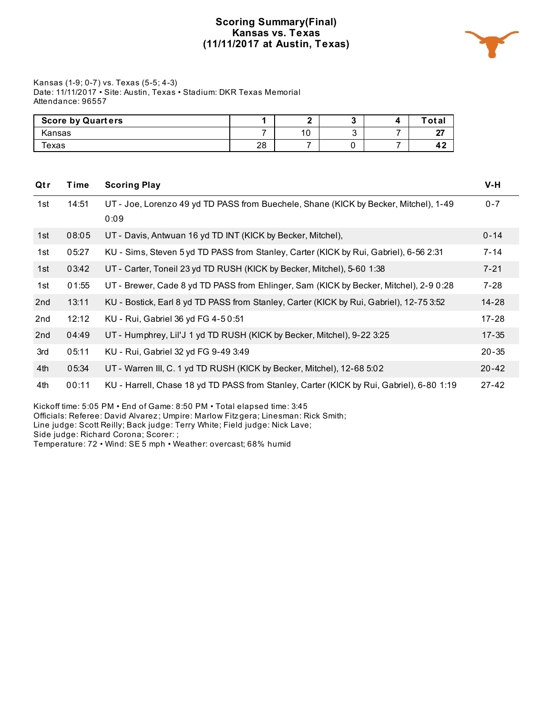## **Scoring Summary(Final) Kansas vs. Texas (11/11/2017 at Austin, Texas)**



Kansas (1-9; 0-7) vs. Texas (5-5; 4-3) Date: 11/11/2017 • Site: Austin, Texas • Stadium: DKR Texas Memorial Attendance: 96557

| <b>Score by Quarters</b> |    |         |  | ˈotal         |
|--------------------------|----|---------|--|---------------|
| Kansas                   |    | 10<br>× |  | $\sim$<br>. . |
| Texas                    | 28 |         |  | 4,            |

| Qtr | Time  | <b>Scoring Play</b>                                                                      | $V-H$     |
|-----|-------|------------------------------------------------------------------------------------------|-----------|
| 1st | 14:51 | UT - Joe, Lorenzo 49 yd TD PASS from Buechele, Shane (KICK by Becker, Mitchel), 1-49     | $0 - 7$   |
|     |       | 0:09                                                                                     |           |
| 1st | 08:05 | UT - Davis, Antwuan 16 yd TD INT (KICK by Becker, Mitchel),                              | $0 - 14$  |
| 1st | 05:27 | KU - Sims, Steven 5 yd TD PASS from Stanley, Carter (KICK by Rui, Gabriel), 6-56 2:31    | $7 - 14$  |
| 1st | 03:42 | UT - Carter, Toneil 23 yd TD RUSH (KICK by Becker, Mitchel), 5-60 1:38                   | $7 - 21$  |
| 1st | 01:55 | UT - Brewer, Cade 8 yd TD PASS from Ehlinger, Sam (KICK by Becker, Mitchel), 2-9 0:28    | $7 - 28$  |
| 2nd | 13:11 | KU - Bostick, Earl 8 yd TD PASS from Stanley, Carter (KICK by Rui, Gabriel), 12-75 3:52  | 14-28     |
| 2nd | 12:12 | KU - Rui, Gabriel 36 yd FG 4-50:51                                                       | $17 - 28$ |
| 2nd | 04:49 | UT - Humphrey, Lil'J 1 yd TD RUSH (KICK by Becker, Mitchel), 9-22 3:25                   | $17 - 35$ |
| 3rd | 05:11 | KU - Rui, Gabriel 32 yd FG 9-49 3:49                                                     | $20 - 35$ |
| 4th | 05:34 | UT - Warren III, C. 1 yd TD RUSH (KICK by Becker, Mitchel), 12-68 5:02                   | $20 - 42$ |
| 4th | 00:11 | KU - Harrell, Chase 18 yd TD PASS from Stanley, Carter (KICK by Rui, Gabriel), 6-80 1:19 | $27 - 42$ |
|     |       |                                                                                          |           |

Kickoff time: 5:05 PM • End of Game: 8:50 PM • Total elapsed time: 3:45

Officials: Referee: David Alvarez; Umpire: Marlow Fitzgera; Linesman: Rick Smith;

Line judge: Scott Reilly; Back judge: Terry White; Field judge: Nick Lave;

Side judge: Richard Corona; Scorer: ;

Temperature: 72 • Wind: SE 5 mph • Weather: overcast; 68% humid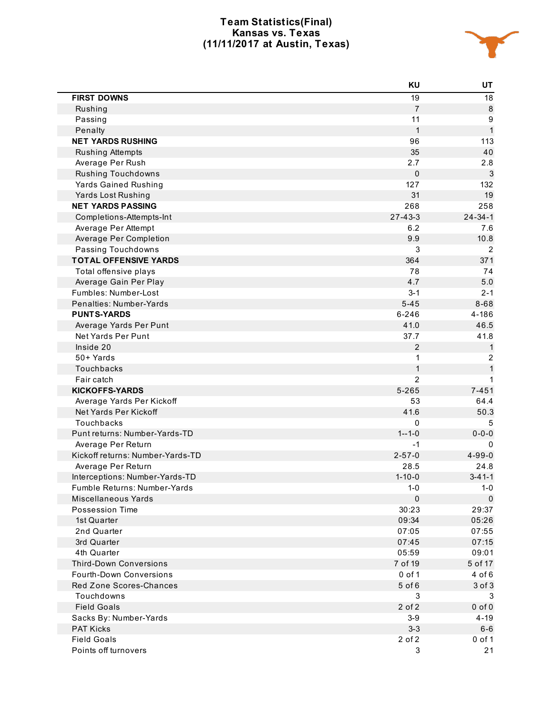## **Team Statistics(Final) Kansas vs. Texas (11/11/2017 at Austin, Texas)**



|                                  | KU             | UT            |
|----------------------------------|----------------|---------------|
| <b>FIRST DOWNS</b>               | 19             | 18            |
| Rushing                          | $\overline{7}$ | 8             |
| Passing                          | 11             | 9             |
| Penalty                          | $\mathbf{1}$   | $\mathbf{1}$  |
| <b>NET YARDS RUSHING</b>         | 96             | 113           |
| Rushing Attempts                 | 35             | 40            |
| Average Per Rush                 | 2.7            | 2.8           |
| <b>Rushing Touchdowns</b>        | $\pmb{0}$      | 3             |
| <b>Yards Gained Rushing</b>      | 127            | 132           |
| Yards Lost Rushing               | 31             | 19            |
| <b>NET YARDS PASSING</b>         | 268            | 258           |
| Completions-Attempts-Int         | $27 - 43 - 3$  | $24 - 34 - 1$ |
| Average Per Attempt              | 6.2            | 7.6           |
| Average Per Completion           | 9.9            | 10.8          |
| Passing Touchdowns               | 3              | 2             |
| <b>TOTAL OFFENSIVE YARDS</b>     | 364            | 371           |
| Total offensive plays            | 78             | 74            |
| Average Gain Per Play            | 4.7            | $5.0$         |
| Fumbles: Number-Lost             | $3 - 1$        | $2 - 1$       |
| Penalties: Number-Yards          | $5 - 45$       | $8 - 68$      |
| <b>PUNTS-YARDS</b>               | $6 - 246$      | 4-186         |
| Average Yards Per Punt           | 41.0           | 46.5          |
| Net Yards Per Punt               | 37.7           | 41.8          |
| Inside 20                        | $\overline{2}$ | 1             |
| 50+ Yards                        | 1              | 2             |
| Touchbacks                       | $\mathbf{1}$   | 1             |
| Fair catch                       | $\overline{2}$ |               |
| <b>KICKOFFS-YARDS</b>            | $5 - 265$      | $7 - 451$     |
| Average Yards Per Kickoff        | 53             | 64.4          |
| Net Yards Per Kickoff            | 41.6           | 50.3          |
| Touchbacks                       | $\mathbf 0$    | 5             |
| Punt returns: Number-Yards-TD    | $1 - 1 - 0$    | $0 - 0 - 0$   |
| Average Per Return               | $-1$           | $\Omega$      |
| Kickoff returns: Number-Yards-TD | $2 - 57 - 0$   | $4 - 99 - 0$  |
| Average Per Return               | 28.5           | 24.8          |
| Interceptions: Number-Yards-TD   | $1 - 10 - 0$   | $3 - 41 - 1$  |
| Fumble Returns: Number-Yards     | $1 - 0$        | $1 - 0$       |
| Miscellaneous Yards              | $\pmb{0}$      | $\mathbf 0$   |
| Possession Time                  | 30:23          | 29:37         |
| 1st Quarter                      | 09:34          | 05:26         |
| 2nd Quarter                      | 07:05          | 07:55         |
| 3rd Quarter                      | 07:45          | 07:15         |
| 4th Quarter                      | 05:59          | 09:01         |
| <b>Third-Down Conversions</b>    | 7 of 19        | 5 of 17       |
| <b>Fourth-Down Conversions</b>   | 0 of 1         | $4$ of $6$    |
| Red Zone Scores-Chances          | 5 of 6         | 3 of 3        |
| Touchdowns                       | 3              | 3             |
| <b>Field Goals</b>               | 2 of 2         | $0$ of $0$    |
| Sacks By: Number-Yards           | $3-9$          | $4 - 19$      |
| <b>PAT Kicks</b>                 | $3 - 3$        | $6-6$         |
| <b>Field Goals</b>               | 2 of 2         | $0$ of 1      |
| Points off turnovers             | 3              | 21            |
|                                  |                |               |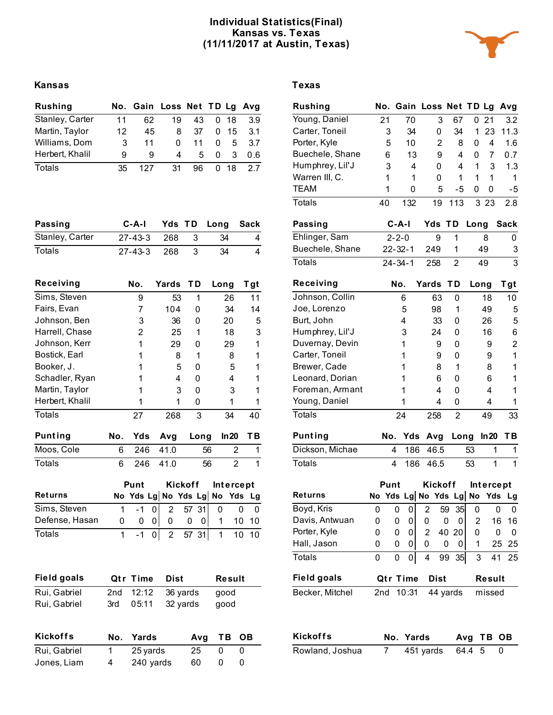## **Individual Statistics(Final) Kansas vs. Texas (11/11/2017 at Austin, Texas)**



# **Kansas Texas**

| <b>Rushing</b>  |    | No. Gain Loss Net TD Lg Avg |    |    |   |      |     |
|-----------------|----|-----------------------------|----|----|---|------|-----|
| Stanley, Carter | 11 | 62                          | 19 | 43 |   | 0 18 | 3.9 |
| Martin, Taylor  | 12 | 45                          | 8  | 37 | 0 | - 15 | 3.1 |
| Williams, Dom   | 3  | 11                          | 0  | 11 | 0 | 5    | 3.7 |
| Herbert, Khalil | g  | g                           | 4  | 5  | 0 | 3    | 0.6 |
| Totals          | 35 | 127                         | 31 | 96 | 0 | 18   | 27  |

| Passing         | C-A-I Yds TD Long Sack |  |     |   |
|-----------------|------------------------|--|-----|---|
| Stanley, Carter | 27-43-3 268 3          |  | -34 | 4 |
| Totals          | 27-43-3 268 3          |  | -34 | 4 |

| Receiving       |     | No.                 |   | Yards          |         | TD |       | Long |                  | Tgt |
|-----------------|-----|---------------------|---|----------------|---------|----|-------|------|------------------|-----|
| Sims, Steven    |     | 9                   |   |                | 53      |    | 1     |      | 26               | 11  |
| Fairs, Evan     |     | 7                   |   | 104            |         |    | 0     |      | 34               | 14  |
| Johnson, Ben    |     | 3                   |   |                | 36      |    | U     |      | 20               | 5   |
| Harrell, Chase  |     | 2                   |   |                | 25      |    | 1     |      | 18               | 3   |
| Johnson, Kerr   |     | 1                   |   |                | 29      |    | O     |      | 29               | 1   |
| Bostick, Earl   |     | 1                   |   |                | 8       |    | 1     |      | 8                | 1   |
| Booker, J.      |     | 1                   |   |                | 5       |    | O     |      | 5                | 1   |
| Schadler, Ryan  |     | 1                   |   |                | 4       |    | U     |      | 4                | 1   |
| Martin, Taylor  |     | 1                   |   |                | 3       |    | U     |      | 3                | 1   |
| Herbert, Khalil |     | 1                   |   |                | 1       |    | 0     |      | 1                | 1   |
| <b>Totals</b>   |     | 27                  |   | 268            |         |    | 3     |      | 34               | 40  |
| <b>Punting</b>  | No. | Yds                 |   | Avq            |         |    | Long  |      | ln 20            | TВ  |
| Moos, Cole      | 6   | 246                 |   | 41.0           |         |    | 56    |      | $\overline{2}$   | 1   |
| <b>Totals</b>   | 6   | 246                 |   | 41.0           |         |    | 56    |      | $\overline{2}$   | 1   |
|                 |     | Punt                |   |                | Kickoff |    |       |      | <b>Intercept</b> |     |
| <b>Returns</b>  |     | No Yds Lg No Yds Lg |   |                |         |    |       | No   | Yds              | Lg  |
| Sims, Steven    | 1   | -1                  | 0 | $\overline{2}$ |         |    | 57 31 | 0    | 0                | 0   |
| Defense, Hasan  | 0   | 0                   | 0 | 0              |         | 0  | 0     | 1    | 10               | 10  |
| Totals          | 1   | -1                  | 0 | 2              |         | 57 | 31    | 1    | 10               | 10  |

| <b>Field goals</b> |     | <b>Qtr Time</b> | Dist     | Result    |    |
|--------------------|-----|-----------------|----------|-----------|----|
| Rui, Gabriel       | 2nd | 12:12           | 36 yards | good      |    |
| Rui, Gabriel       | 3rd | 05:11           | 32 yards | good      |    |
| <b>Kickoffs</b>    | No. | Yards           | Avq      | <b>TB</b> | OВ |
| Rui, Gabriel       | 1   | 25 yards        | 25       | 0         | 0  |
| Jones, Liam        | 4   | 240 yards       | 60       | 0         | 0  |

| <b>Rushing</b>     |     |                         | No. Gain Loss Net TD Lg       |   |             |       |                |      |           |    | Avg            |
|--------------------|-----|-------------------------|-------------------------------|---|-------------|-------|----------------|------|-----------|----|----------------|
| Young, Daniel      | 21  |                         | 70                            |   | 3           |       | 67             | 0    | 21        |    | 3.2            |
| Carter, Toneil     |     | 3                       | 34                            |   | 0           |       | 34             | 1    | 23        |    | 11.3           |
| Porter, Kyle       |     | 5                       | 10                            |   | 2           |       | 8              | 0    | 4         |    | 1.6            |
| Buechele, Shane    |     | 6                       | 13                            |   | 9           |       | 4              | 0    | 7         |    | 0.7            |
| Humphrey, Lil'J    |     | 3                       | 4                             |   | 0           |       | 4              | 1    | 3         |    | 1.3            |
| Warren III, C.     |     | 1                       | 1                             |   | 0           |       | 1              | 1    | 1         |    | 1              |
| <b>TEAM</b>        |     | 1                       | 0                             |   | 5           |       | -5             | 0    | 0         |    | $-5$           |
| Totals             | 40  |                         | 132                           |   | 19          |       | 113            |      | 3 2 3     |    | 2.8            |
| <b>Passing</b>     |     |                         | C-A-I                         |   | Yds         | ΤD    |                | Long |           |    | <b>Sack</b>    |
| Ehlinger, Sam      |     | $2 - 2 - 0$             |                               |   | 9           |       | 1              |      | 8         |    | 0              |
| Buechele, Shane    |     |                         | $22 - 32 - 1$                 |   | 249         |       | 1              |      | 49        |    | 3              |
| <b>Totals</b>      |     |                         | $24 - 34 - 1$                 |   | 258         |       | $\overline{2}$ |      | 49        |    | $\overline{3}$ |
| Receiving          |     | No.                     |                               |   | Yards       | ТD    |                |      | Long      |    | T gt           |
| Johnson, Collin    |     |                         | 6                             |   | 63          |       | 0              |      | 18        |    | 10             |
| Joe, Lorenzo       |     |                         | 5                             |   | 98          |       | 1              |      | 49        |    | 5              |
| Burt, John         | 4   |                         |                               |   | 33          |       | 0              |      |           | 5  |                |
| Humphrey, Lil'J    | 3   |                         |                               |   | 24          |       | 0              |      | 16        |    | 6              |
| Duvernay, Devin    | 1   |                         |                               |   | 9           |       | 0              |      | 9         |    | $\overline{2}$ |
| Carter, Toneil     | 1   |                         |                               |   | 9           |       | 0              |      | 9         |    | $\mathbf{1}$   |
| Brewer, Cade       | 1   |                         |                               |   | 8           |       | 1              |      | 8         |    | 1              |
| Leonard, Dorian    |     |                         | 1                             |   | 6           |       | 0              |      | 6         |    | 1              |
| Foreman, Armant    |     |                         | 1                             |   | 4           |       | 0              |      | 4         |    | 1              |
| Young, Daniel      |     |                         | 1                             |   | 4           |       | 0              |      | 4         |    | 1              |
| <b>Totals</b>      |     |                         | 24                            |   | 258         |       | 2              |      | 49        |    | 33             |
| <b>Punting</b>     |     | No.                     | Yds                           |   | Avg         |       |                | Long | ln 20     |    | TВ             |
| Dickson, Michae    |     | 4                       | 186                           |   | 46.5        |       |                | 53   |           | 1  | 1              |
| Totals             |     | $\overline{\mathbf{4}}$ | 186                           |   | 46.5        |       |                | 53   |           | 1  | $\overline{1}$ |
|                    |     | Punt                    |                               |   | Kickoff     |       |                |      | Intercept |    |                |
| <b>Returns</b>     |     |                         | No Yds Lg No Yds Lg No Yds Lg |   |             |       |                |      |           |    |                |
| Boyd, Kris         | 0   | 0                       | 0                             | 2 |             | 59    | 35             | 0    |           | 0  | 0              |
| Davis, Antwuan     | 0   | 0                       | 0                             | 0 |             | 0     | 0              | 2    |           | 16 | 16             |
| Porter, Kyle       | 0   | 0                       | 0                             | 2 |             | 40 20 |                | 0    |           | 0  | 0              |
| Hall, Jason        | 0   | 0                       | 0                             | 0 |             | 0     | 0              | 1    |           | 25 | 25             |
| <b>Totals</b>      | 0   | 0                       | $\overline{0}$                | 4 |             | 99    | 35             | 3    |           | 41 | 25             |
| <b>Field goals</b> |     |                         | Qtr Time                      |   | <b>Dist</b> |       |                |      | Result    |    |                |
| Becker, Mitchel    | 2nd |                         | 10:31                         |   | 44 yards    |       |                |      | missed    |    |                |
|                    |     |                         |                               |   |             |       |                |      |           |    |                |

| <b>Kickoffs</b> | No. Yards        | Avg TB OB |  |
|-----------------|------------------|-----------|--|
| Rowland, Joshua | 451 yards 64.4 5 |           |  |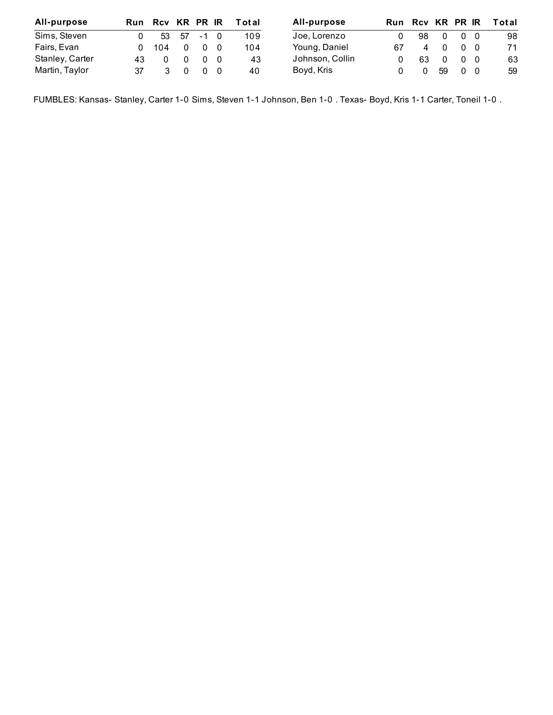| All-purpose     |              | Run Rcv KR PR IR |            |     | Total | All-purpose     |    | Run Rcv KR PR IR |          |                | Total |
|-----------------|--------------|------------------|------------|-----|-------|-----------------|----|------------------|----------|----------------|-------|
| Sims, Steven    |              |                  | 53 57 -1 0 |     | 109   | Joe, Lorenzo    |    | 98               | $\Omega$ | 0 <sub>0</sub> | 98    |
| Fairs, Evan     | <sup>n</sup> | 104              |            | - 0 | 104   | Young, Daniel   | 67 | 4                | $\Omega$ | 0 O            | 71    |
| Stanley, Carter | 43           |                  |            | - 0 | 43    | Johnson, Collin |    | 63               | $\Omega$ | 0 <sub>0</sub> | 63    |
| Martin, Taylor  |              |                  |            | - 0 | 40    | Boyd, Kris      |    |                  | 59       | 0 <sub>0</sub> | 59    |

FUMBLES: Kansas- Stanley, Carter 1-0 Sims, Steven 1-1 Johnson, Ben 1-0 . Texas- Boyd, Kris 1-1 Carter, Toneil 1-0 .